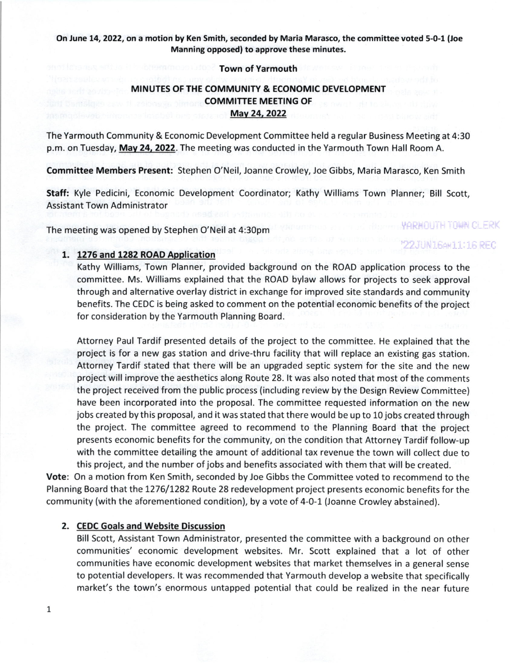## On June 14, 2022, on a motion by Ken Smith, seconded by Maria Marasco, the committee voted 5-0-1 (Joe Manning opposed) to approve these minutes.

### Town of Yarmouth

# MINUTES OF THE COMMUNITY & ECONOMIC DEVELOPMENT COMMITTEE MEETING OF Mav 24,2O22

The Yarmouth Community & Economic Development Committee held a regular Business Meeting at 4:30 p.m. on Tuesday, May 24, 2022. The meeting was conducted in the Yarmouth Town Hall Room A.

Committee Members Present: Stephen O'Neil, Joanne Crowley, Joe Gibbs, Maria Marasco, Ken Smith

Staff: Kyle Pedicini, Economic Development Coordinator; Kathy Williams Town Planner; Bill Scott, **Assistant Town Administrator** 

The meeting was opened by Stephen O'Neil at 4:30pm

## 1. 1276 and 1282 ROAO Application

Kathy Williams, Town Planner, provided background on the ROAD application process to the committee. Ms. Williams explained that the ROAD bylaw allows for projects to seek approval through and alternative overlay district in exchange for improved site standards and community benefits. The CEDC is being asked to comment on the potential economic benefits of the project for consideration by the Yarmouth Planning Board.

*YARKOUTH TOWN CLERK* 

'22JUN16AW11:16 REC

Attorney Paul Tardif presented details of the project to the committee. He explained that the project is for a new gas station and drive-thru facility that will replace an existing gas station. Attorney Tardif stated that there will be an upgraded septic system for the site and the new project will improve the aesthetics along Route 28. lt was also noted that most of the comments the project received from the public process (including review by the Design Review Committee) have been incorporated into the proposal. The committee requested information on the new jobs created by this proposal, and it was stated that there would be up to 10jobs created through the project. The committee agreed to recommend to the Planning Board that the project presents economic benefits for the community, on the condition that Attorney Tardif follow-up with the committee detailing the amount of additional tax revenue the town will collect due to this project, and the number ofjobs and benefits associated with them that will be created.

Vote: On a motion from Ken Smith, seconded by Joe Gibbs the Committee voted to recommend to the Planning Board that the 1276/1282 Route 28 redevelopment project presents economic benefits for the community (with the aforementioned condition), by a vote of 4-0-1 (Joanne Crowley abstained).

### 2. CEDC Goals and Website Discussion

Bill Scott, Assistant Town Administrator, presented the committee with a background on other communities' economic development websites. Mr. Scott explained that a lot of other communities have economic development websites that market themselves in a general sense to potential developers. lt was recommended that Yarmouth develop a website that specifically market's the town's enormous untapped potential that could be realized in the near future